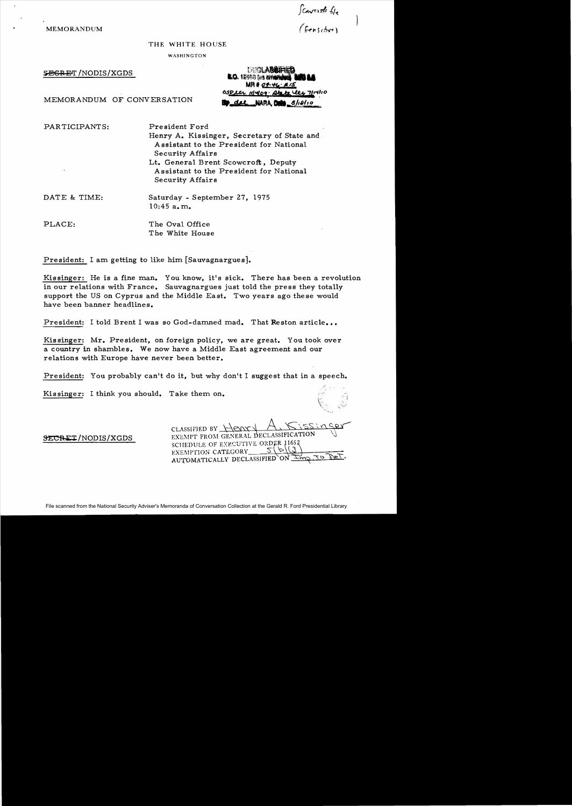**MEMORANDUM** 

*fcaverth file*<br>(fenscher)

## THE WHITE HOUSE

WASHINGTON

SBGRET/NODIS/XGDS

**DECLABRIFIED EO.** 12053 tas arrests  $MR#OP-H_2: #15$ OSDeer 111409. Abote the 7114/10 NARA DOM 8/18/10

MEMORANDUM OF CONVERSATION

PARTICIPANTS: President Ford

Henry A. Kissinger, Secretary of State and. Assistant to the President for National Security Affairs Lt. General Brent Scowcroft, Deputy Assistant to the President for National

DATE & TIME: Saturday - September 27, 1975 10:45 a. m.

Security Affairs

PLACE: The Oval Office The White House

President: I am getting to like him [Sauvagnargues].

Kissinger: He is a fine man. You know, it's sick. There has been a revolution in our relations with France. Sauvagnargues just told the press they totally support the US on Cyprus and the Middle East. Two years ago these would have been banner headlines.

President: I told Brent I was so God-damned mad. That Reston article...

Kissinger: Mr. President, on foreign policy, we are great. You took over a country in shambles. We now have a Middle East agreement and our relations with Europe have never been better.

President: You probably can't do it, but why don't I suggest that in a speech.

Kissinger: I think you should. Take them on.

 $CLASSIFIED BY~H$  $RXX$ SECRET/NODIS/XGDS EXEMPT FROM GENERAL DECLASSIFICATION SCHEDULE OF EXECUTIVE ORDER 1165. EXEMPTION CATEGORY  $S(\mathcal{O}(\mathcal{G}))$ <br>AUTOMATICALLY DECLASSIFIED ON IMOUTO DET. AUTOMATICALLY DECLASSIFIED ON  $\overline{\perp}_{\text{MO}}$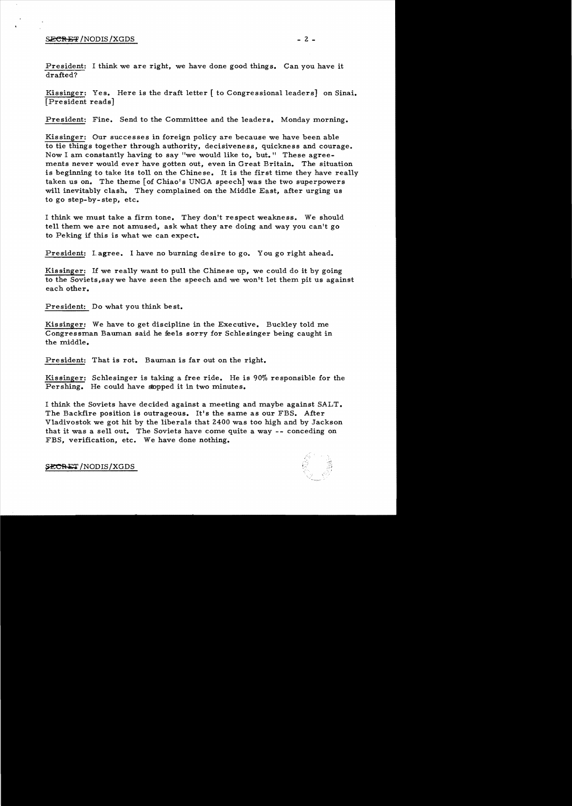## $S$ <del>ecres</del> /NODIS/XGDS  $-2$  -

President: I think we are right, we have done good things. Can you have it drafted?

Kissinger: Yes. Here is the draft letter [ to Congressional leaders] on Sinai. [President reads]

President: Fine. Send to the Committee and the leaders. Monday morning.

Kissinger: Our successes in foreign policy are because we have been able to tie things together through authority, decisiveness, quickness and courage. Now I am constantly having to say "we would like to, but." These agreements never would ever have gotten out, even in Great Britain. The situation is beginning to take its toll on the Chinese. It is the first time they have really taken us on. The theme [of Chiao's UNGA speech] was the two superpowers will inevitably clash. They complained on the Middle East, after urging us to go step-by-step, etc.

I think we must take a firm tone. They don't respect weakness. We should tell them we are not amused, ask what they are doing and way you can't go to Peking if this is what we can expect.

President: Lagree. I have no burning desire to go. You go right ahead.

Kissinger: If we really want to pull the Chinese up, we could do it by going to the Soviets,saywe have seen the speech and we won't let them pit us against each other.

President: Do what you think best.

Kissinger: We have to get discipline in the Executive. Buckley told me Congressman Bauman said he feels sorry for Schlesinger being caught in the middle.

President: That is rot. Bauman is far out on the right.

Kissinger: Schlesinger is taking a free ride. He is 90% responsible for the Pershing. He could have stopped it in two minutes.

I think the Soviets have decided against a meeting and maybe against SALT. The Backfire position is outrageous. It's the same as our FBS. After Vladivostok we got hit by the liberals that 2400 was too high and by Jackson that it was a sell out. The Soviets have come quite a way - - conceding on FBS, verification, etc. We have done nothing.



**SECRET** /NODIS/XGDS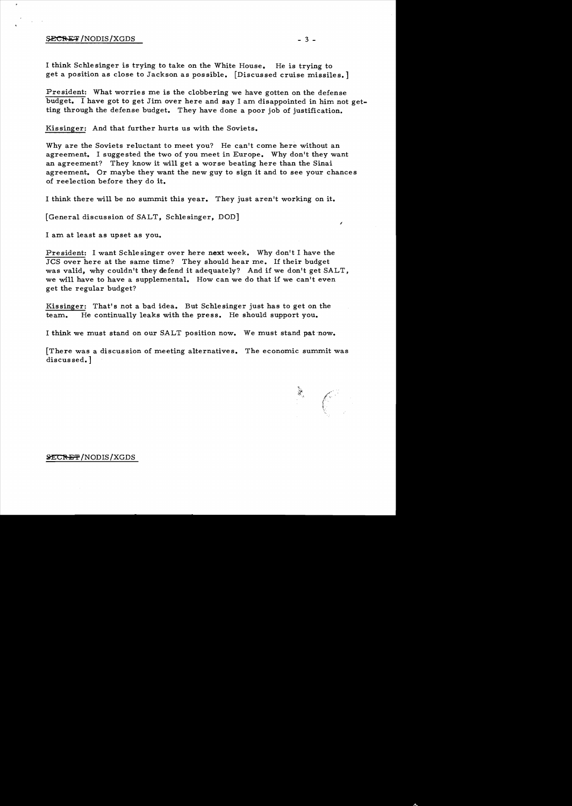## $SECHET/NODIS/XGDS$   $-3-$

I think Schle singer is trying to take on the White House. He is trying to get a position as close to Jackson as possible. [Discussed cruise missiles.]

President: What worries me is the clobbering we have gotten on the defense budget. I have got to get Jim over here and say I am disappointed in him not getting through the defense budget. They have done a poor job of justification.

Kissinger: And that further hurts us with the Soviets.

Why are the Soviets reluctant to meet you? He can't come here without an agreement. I suggested the two of you meet in Europe. Why don't they want an agreement? They know it will get a worse beating here than the Sinai agreement. Or maybe they want the new guy to sign it and to see your chances of reelection before they do it.

I think there will be no summit this year. They just aren't working on it.

[General discussion of SALT, Schlesinger, DOD]

I am at least as upset as you.

President: I want Schlesinger over here next week. Why don't I have the JCS over here at the same time? They should hear me. If their budget was valid, why couldn't they defend it adequately? And if we don't get SALT, we will have to have a supplemental. How can we do that if we can't even get the regular budget?

Kissinger: That's not a bad idea. But Schlesinger just has to get on the team. He continually leaks with the press. He should support you.

I think we must stand on our SALT position now. We must stand pat -now.

[There was a discussion of meeting alternatives. The economic summit was discussed.]

 $\mathcal{L}$ 

Í

## **SECRET/NODIS/XGDS**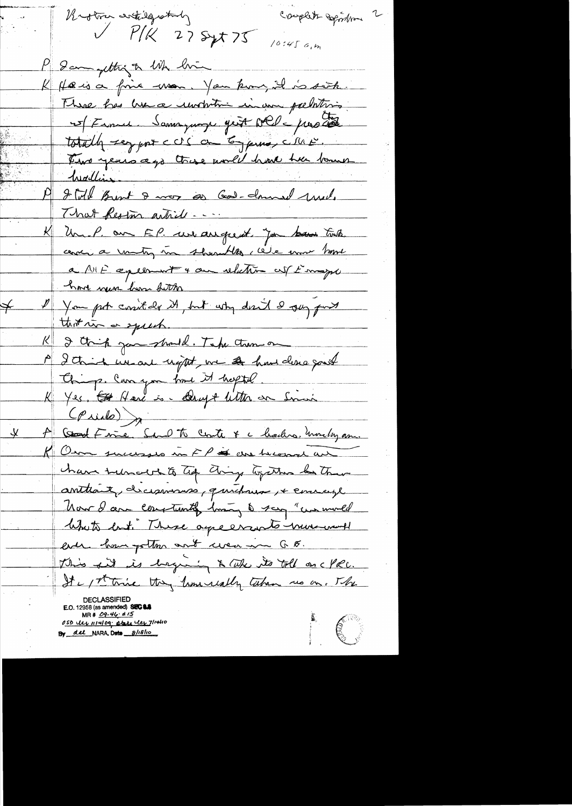Couplets Sepondrom 2 Rioton entilgrately  $V$   $P/K$  27 Syt 75  $10:45cm$ P Sam getting to like him K Hæisa fine mon. You kun, il is sort. There has lunca untition in an pechitris 15/France Samoyage gest NCD = proster totally segrent ccs on Eyerna, city is. Two years ago these would have the bours 19 grill Burt 8 mor as God-donnel mil. That Reston article K Un.P. on EP. we arrefrent. Jan ban touts. cenci a unity in shownthe cele mor home a NIF apression + au relation cut s'inspir have new loom button I You put cosit de it, but why don't I gay fort  $\neq$ K I think journald. Take them on A I think we are upt , we at hand done good Chip. Can you brout it helptel K Yes, Et Hard is - Drugt litter on Sinus (Priet)<br>A Good Frie Sand to Coste & chaches, monety am. K Om successes in FP is an became an have turned to the dring together by them anthénit, dicionnaires, quichaux, + courage Now I am constantly los to say "we mored likets but. There agreements minimum ! ever having the and weaven 6 F. This fit is beginning & take its toll on cyce. It is the thing time really taken us on. The E.O. 12958 (as amended) SEC 1.8 MR #  $09.464 \times 15$ I C 050 ULL 111409; abre les 7/14410 By del NARA, Date 8/18/10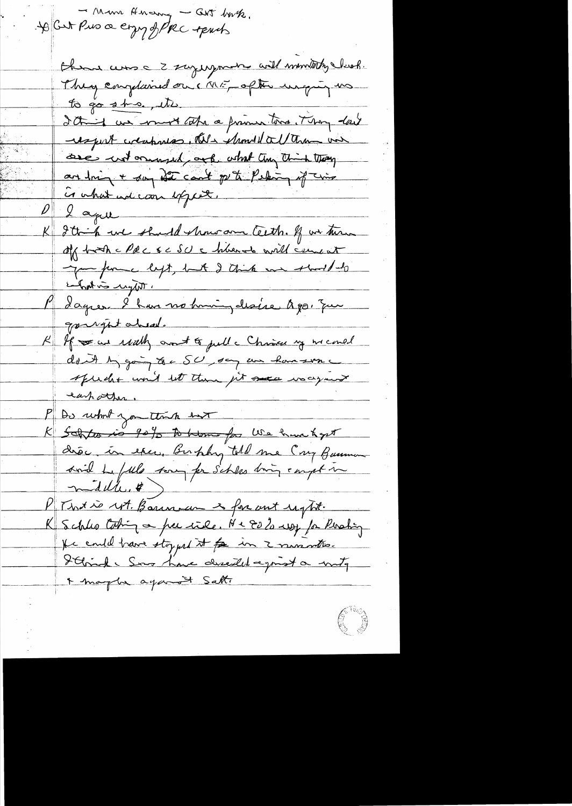- Mm Anou - Cut but. Here are a z saying more will monthly clock. They emplaned on ME, ofthe unquy us to go sho, its It is un most tote a friend tons. They last wegent weapones, this should all them on see untormused ark what they think thay and min + say off count of the Person of this Gohat adcom export. Lagu Ittink we should show and teeth. If we turn apporter left, but I think on short bits P dagres l'han no timing desire à poi que gourght aheal. K If we we walk and to pull a Christer my memed don't by going to a SU, say an hanswer speecht would let them get once was your eastather. P Do what you think har K Soltes is 90% to home for We have high diec, in esce, Bushky told me Cay Bussman svil Le fille son for s'et les songs empt une PTWX is NA. Basin un 2 for unt sight. K Schles Coting a per rile. Ne Es 20 may for Perching He could have stoyed it for in 2 numeration. Strick Son time deseiled agrist a write + maybe against Salt.

( 3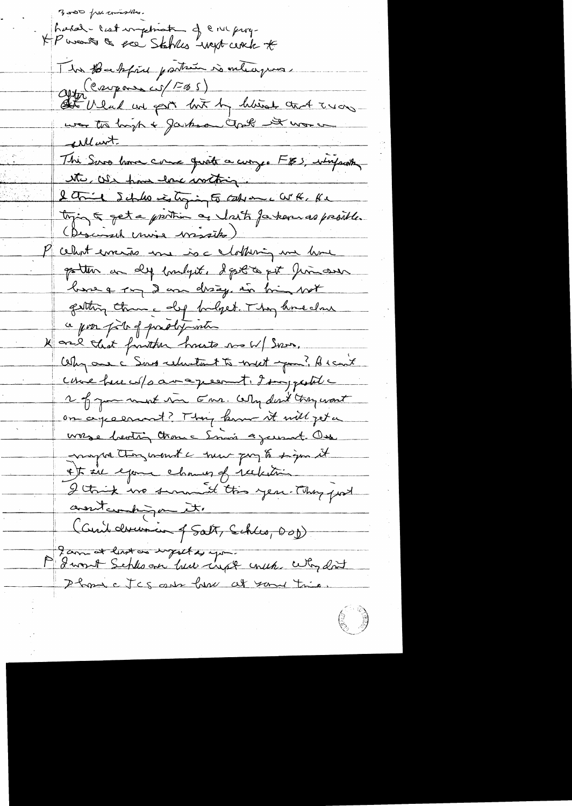300 pour commencer XP wants & see Statues wept cent to The Bakfrie parties is interesperse after (carpones cit/FBS)<br>At Whad we part huit by history that Trians was to high + Janksa Closh it was un The Suro have come quate a curry. FBS, whereaster ette, We have love within . I think 5 chilo is toging to take on a WK. Ke tying 5 get a protion as lost fatar as presible. (Descursed cruise wissets) cellent errains une is a chothering une home gotten an dep bandget. I gott a get him over base a ray 2 am disage in him wit getting theme dif budget. They knowledge ce pour pour of production K are that faither houts no W/ Sono. Why one c Sing relations to meet you? He cut come hue w/s amage est i dompted 2 of you want in Ems. Why dent tray want on agreement? They know it will get a wase hooting than a Smain againment. One nagrator won't a new pay to sign it \* t in exame channes of reckstring I think we serve it this year. They find contemporate (Cuite devenien 4 Satz, Schles, 200) Parmet levet as supported you. Phone Ics aux hear at same trie.